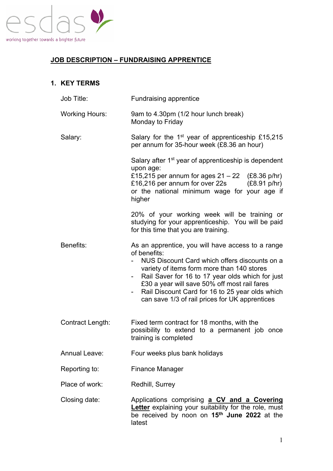

# **JOB DESCRIPTION – FUNDRAISING APPRENTICE**

### **1. KEY TERMS**

| Job Title:            | Fundraising apprentice                                                                                                                                                                                                                                                                                                                                                          |
|-----------------------|---------------------------------------------------------------------------------------------------------------------------------------------------------------------------------------------------------------------------------------------------------------------------------------------------------------------------------------------------------------------------------|
| <b>Working Hours:</b> | 9am to 4.30pm (1/2 hour lunch break)<br>Monday to Friday                                                                                                                                                                                                                                                                                                                        |
| Salary:               | Salary for the 1 <sup>st</sup> year of apprenticeship £15,215<br>per annum for 35-hour week (£8.36 an hour)                                                                                                                                                                                                                                                                     |
|                       | Salary after 1 <sup>st</sup> year of apprenticeship is dependent<br>upon age:<br>£15,215 per annum for ages $21 - 22$ (£8.36 p/hr)<br>£16,216 per annum for over 22s<br>(E8.91 p/hr)<br>or the national minimum wage for your age if<br>higher                                                                                                                                  |
|                       | 20% of your working week will be training or<br>studying for your apprenticeship. You will be paid<br>for this time that you are training.                                                                                                                                                                                                                                      |
| Benefits:             | As an apprentice, you will have access to a range<br>of benefits:<br>NUS Discount Card which offers discounts on a<br>variety of items form more than 140 stores<br>Rail Saver for 16 to 17 year olds which for just<br>£30 a year will save 50% off most rail fares<br>Rail Discount Card for 16 to 25 year olds which<br>۰.<br>can save 1/3 of rail prices for UK apprentices |
| Contract Length:      | Fixed term contract for 18 months, with the<br>possibility to extend to a permanent job once<br>training is completed                                                                                                                                                                                                                                                           |
| <b>Annual Leave:</b>  | Four weeks plus bank holidays                                                                                                                                                                                                                                                                                                                                                   |
| Reporting to:         | <b>Finance Manager</b>                                                                                                                                                                                                                                                                                                                                                          |
| Place of work:        | Redhill, Surrey                                                                                                                                                                                                                                                                                                                                                                 |
| Closing date:         | Applications comprising a CV and a Covering<br>Letter explaining your suitability for the role, must<br>be received by noon on 15 <sup>th</sup> June 2022 at the<br>latest                                                                                                                                                                                                      |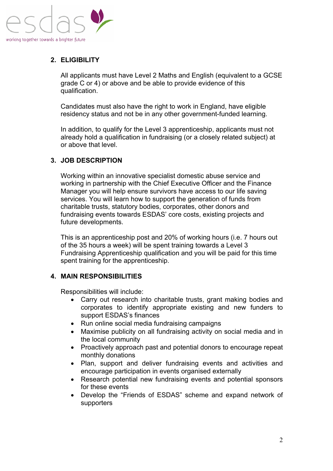

## **2. ELIGIBILITY**

All applicants must have Level 2 Maths and English (equivalent to a GCSE grade C or 4) or above and be able to provide evidence of this qualification.

Candidates must also have the right to work in England, have eligible residency status and not be in any other government-funded learning.

In addition, to qualify for the Level 3 apprenticeship, applicants must not already hold a qualification in fundraising (or a closely related subject) at or above that level.

### **3. JOB DESCRIPTION**

Working within an innovative specialist domestic abuse service and working in partnership with the Chief Executive Officer and the Finance Manager you will help ensure survivors have access to our life saving services. You will learn how to support the generation of funds from charitable trusts, statutory bodies, corporates, other donors and fundraising events towards ESDAS' core costs, existing projects and future developments.

This is an apprenticeship post and 20% of working hours (i.e. 7 hours out of the 35 hours a week) will be spent training towards a Level 3 Fundraising Apprenticeship qualification and you will be paid for this time spent training for the apprenticeship.

#### **4. MAIN RESPONSIBILITIES**

Responsibilities will include:

- Carry out research into charitable trusts, grant making bodies and corporates to identify appropriate existing and new funders to support ESDAS's finances
- Run online social media fundraising campaigns
- Maximise publicity on all fundraising activity on social media and in the local community
- Proactively approach past and potential donors to encourage repeat monthly donations
- Plan, support and deliver fundraising events and activities and encourage participation in events organised externally
- Research potential new fundraising events and potential sponsors for these events
- Develop the "Friends of ESDAS" scheme and expand network of supporters